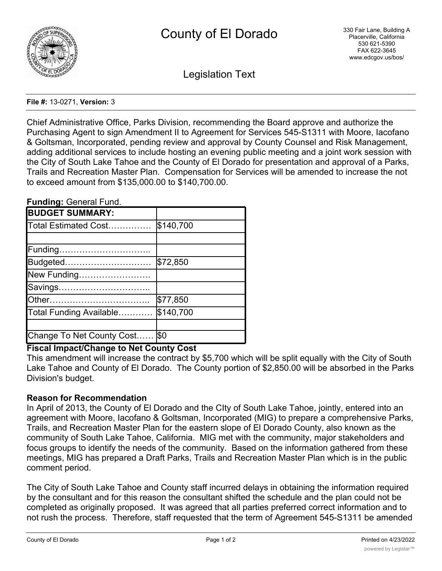

Legislation Text

#### **File #:** 13-0271, **Version:** 3

Chief Administrative Office, Parks Division, recommending the Board approve and authorize the Purchasing Agent to sign Amendment II to Agreement for Services 545-S1311 with Moore, Iacofano & Goltsman, Incorporated, pending review and approval by County Counsel and Risk Management, adding additional services to include hosting an evening public meeting and a joint work session with the City of South Lake Tahoe and the County of El Dorado for presentation and approval of a Parks, Trails and Recreation Master Plan. Compensation for Services will be amended to increase the not to exceed amount from \$135,000.00 to \$140,700.00.

#### **Funding:** General Fund.

| <b>BUDGET SUMMARY:</b>     |           |
|----------------------------|-----------|
| Total Estimated Cost       | \$140,700 |
|                            |           |
| Funding                    |           |
| Budgeted                   | \$72,850  |
| New Funding                |           |
| Savings                    |           |
| <b>Other</b>               | \$77,850  |
| Total Funding Available    | \$140,700 |
|                            |           |
| Change To Net County Cost. | \$0       |

## **Fiscal Impact/Change to Net County Cost**

This amendment will increase the contract by \$5,700 which will be split equally with the City of South Lake Tahoe and County of El Dorado. The County portion of \$2,850.00 will be absorbed in the Parks Division's budget.

## **Reason for Recommendation**

In April of 2013, the County of El Dorado and the CIty of South Lake Tahoe, jointly, entered into an agreement with Moore, Iacofano & Goltsman, Incorporated (MIG) to prepare a comprehensive Parks, Trails, and Recreation Master Plan for the eastern slope of El Dorado County, also known as the community of South Lake Tahoe, California. MIG met with the community, major stakeholders and focus groups to identify the needs of the community. Based on the information gathered from these meetings, MIG has prepared a Draft Parks, Trails and Recreation Master Plan which is in the public comment period.

The City of South Lake Tahoe and County staff incurred delays in obtaining the information required by the consultant and for this reason the consultant shifted the schedule and the plan could not be completed as originally proposed. It was agreed that all parties preferred correct information and to not rush the process. Therefore, staff requested that the term of Agreement 545-S1311 be amended